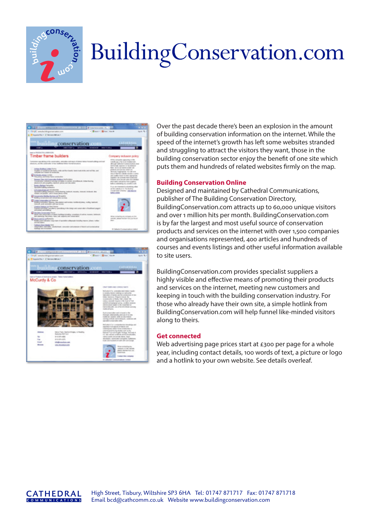

# Building Conservation.com





Over the past decade there's been an explosion in the amount of building conservation information on the internet. While the speed of the internet's growth has left some websites stranded and struggling to attract the visitors they want, those in the building conservation sector enjoy the benefit of one site which puts them and hundreds of related websites firmly on the map.

### **Building Conservation Online**

Designed and maintained by Cathedral Communications, publisher of The Building Conservation Directory, BuildingConservation.com attracts up to 60,000 unique visitors and over 1 million hits per month. BuildingConservation.com is by far the largest and most useful source of conservation products and services on the internet with over 1,500 companies and organisations represented, 400 articles and hundreds of courses and events listings and other useful information available to site users.

BuildingConservation.com provides specialist suppliers a highly visible and effective means of promoting their products and services on the internet, meeting new customers and keeping in touch with the building conservation industry. For those who already have their own site, a simple hotlink from BuildingConservation.com will help funnel like-minded visitors along to theirs.

#### **Get connected**

Web advertising page prices start at £300 per page for a whole year, including contact details, 100 words of text, a picture or logo and a hotlink to your own website. See details overleaf.